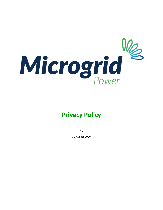

# **Privacy Policy**

V1

10 August 2020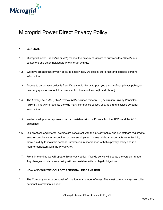

# Microgrid Power Direct Privacy Policy

# **1. GENERAL**

- 1.1. Microgrid Power Direct ("us or we") respect the privacy of visitors to our websites ('**Sites**'), our customers and other individuals who interact with us.
- 1.2. We have created this privacy policy to explain how we collect, store, use and disclose personal information.
- 1.3. Access to our privacy policy is free. If you would like us to post you a copy of our privacy policy, or have any questions about it or its contents, please call us on [Insert Phone].
- 1.4. The *Privacy Act 1988* (Cth) ('**Privacy Act**') includes thirteen (13) Australian Privacy Principles ('**APPs**'). The APPs regulate the way many companies collect, use, hold and disclose personal information.
- 1.5. We have adopted an approach that is consistent with the Privacy Act, the APP's and the APP guidelines.
- 1.6. Our practices and internal policies are consistent with this privacy policy and our staff are required to ensure compliance as a condition of their employment. In any third-party contracts we enter into, there is a duty to maintain personal information in accordance with this privacy policy and in a manner consistent with the Privacy Act.
- 1.7. From time to time we will update this privacy policy. If we do so we will update the version number. Any changes to this privacy policy will be consistent with our legal obligations.

#### **2. HOW AND WHY WE COLLECT PERSONAL INFORMATION**

2.1. The Company collects personal information in a number of ways. The most common ways we collect personal information include: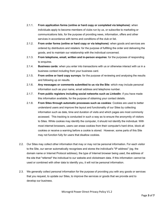- 2.1.1. **From application forms (online or hard copy or completed via telephone)**: when individuals apply to become members of clubs run by us, or subscribe to marketing or communications lists, for the purpose of providing news, information, offers and other services in accordance with terms and conditions of the club or list.
- 2.1.2. **From order forms (online or hard copy or via telephone)**: when goods and services are ordered by distributors and retailers: for the purpose of fulfilling the order and delivering the goods, and to maintain our relationship with the individual concerned.
- 2.1.3. **From telephone, email, written and in-person enquires**: for the purposes of responding to enquires.
- 2.1.4. **Business cards**: when you enter into transactions with us or otherwise interact with us in a business context including from your business card.
- 2.1.5. **From online or hard copy surveys**: for the purpose of reviewing and analysing the results and following up on results.
- 2.1.6. **Any messages or comments submitted to us via the Site**: which may include personal information such as your name, email address and telephone number.
- 2.1.7. **From public registers including social networks such as LinkedIn**: if you have made this information available, for the purpose of obtaining your contact details.
- 2.1.8. **From Sites through automatic processes such as cookies**: Cookies are used to better understand users and improve the layout and functionality of our Sites by collecting information such as date, time and duration of visits and which pages are most commonly accessed. This tracking is conducted in such a way as to ensure the anonymity of visitors to Sites. While cookies may identify the computer, it should not identify the individual. With most internet browsers, users can erase cookies from their computer's hard drive, block all cookies or receive a warning before a cookie is stored. However, some parts of this Site may not function fully for users that disallow cookies.
- 2.2. Our Sites may collect other information that may or may not be personal information. For each visitor to the Site, our server automatically recognises and stores the individual's "IP address" (eg. the domain name or Internet Protocol address), the type of Internet browser being used, the address of the site that "referred" the individual to our website and clickstream data. If this information cannot be used or combined with other data to identify you, it will not be personal information.
- 2.3. We generally collect personal information for the purpose of providing you with any goods or services that you request, to update our Sites, to improve the services or goods that we provide and to develop our business.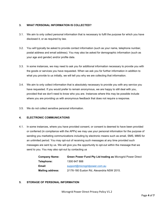# **3. WHAT PERSONAL INFORMATION IS COLLECTED?**

- 3.1. We aim to only collect personal information that is necessary to fulfil the purpose for which you have disclosed it, or as required by law.
- 3.2. You will typically be asked to provide contact information (such as your name, telephone number, postal address and email address). You may also be asked for demographic information (such as your age and gender) and/or profile data.
- 3.3. In some instances, we may need to ask you for additional information necessary to provide you with the goods or services you have requested. When we ask you for further information in addition to what you provide to us initially, we will tell you why we are collecting that information.
- 3.4. We aim to only collect information that is absolutely necessary to provide you with any service you have requested. If you would prefer to remain anonymous, we are happy to still deal with you, provided that we don't need to know who you are. Instances where this may be possible include where you are providing us with anonymous feedback that does not require a response.
- 3.5. We do not collect sensitive personal information.

# **4. ELECTRONIC COMMUNICATIONS**

4.1. In some instances, where you have provided consent, or consent is deemed to have been provided or conferred (in compliance with the APPs) we may use your personal information for the purpose of sending you marketing communications including by electronic means such as email, SMS, MMS for an unlimited period. You may opt-out of receiving such messages at any time provided such messages are sent by us. We will give you the opportunity to opt-out within the message that we send to you. You may also opt-out by contacting us

| <b>Company Name:</b>    | <b>Green Power Fund Pty Ltd trading as Microgrid Power Direct</b> |
|-------------------------|-------------------------------------------------------------------|
| Telephone:              | 1300 647 888                                                      |
| Email:                  | support@microgridpower.com.au                                     |
| <b>Mailing address:</b> | 2/176-180 Euston Rd, Alexandria NSW 2015.                         |

#### **5. STORAGE OF PERSONAL INFORMATION**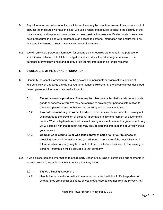- 5.1. Any information we collect about you will be kept securely by us unless an event beyond our control disrupts the measures we have in place. We use a range of measures to ensure the security of the data we keep and to prevent unauthorised access, destruction, use, modification or disclosure. We have procedures in place with regards to staff access to personal information and ensure that only those staff who need to know have access to your information.
- 5.2. We will only store personal information for so long as it is required either to fulfil the purpose for which it was collected or to fulfil our obligations at law. We will conduct regular reviews of the personal information we hold and destroy or de-identify information no longer required.

#### **6. DISCLOSURE OF PERSONAL INFORMATION**

- 6.1. Generally, personal information will not be disclosed to individuals or organisations outside of Microgrid Power Direct Pty Ltd without your prior consent. However, in the circumstances described below, personal information may be disclosed to:
	- 6.1.1. **Essential service providers**: There may be other companies that we rely on to provide goods or services to you. We may be required to provide your personal information to these companies to ensure that we can deliver goods or services to you.
	- 6.1.2. **Law enforcement or government bodies**: There are exceptions under the Privacy Act with regards to the provision of personal information to law enforcement or government bodies. When a legitimate request is sent to us by a law enforcement or government body we will comply with that request and may provide personal information about you without your consent.
	- 6.1.3. **Companies related to us or who take control of part or all of our business**: In providing personal information to us you will need to be aware of the possibility that, in future, another company may take control of part or all of our business. In that case, your personal information will be provided to that company.
- 6.2. If we disclose personal information to a third party under outsourcing or contracting arrangements (a service provider), we will take steps to ensure that they have:
	- 6.2.1. Signed a binding agreement;
	- 6.2.2. Handle the personal information in a manner consistent with the APPs (regardless of whether they are a small business, or would otherwise be exempt from the Privacy Act);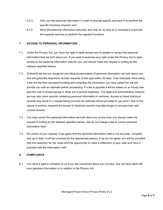- 6.2.3. Only use the personal information in order to provide specific services or to perform the specific functions required; and
- 6.2.4. Store the personal information securely, and only for as long as is necessary to provide the required services to perform the required functions.

# **7. ACCESS TO PERSONAL INFORMATION**

- 7.1. Under the Privacy Act, you have the right to seek access and to update or correct the personal information that we hold about you. If you wish to exercise your right under the Privacy Act to seek access to the personal information held for you, you should make the request in writing (to the address specified below).
- 7.2. Ordinarily we will not charge for providing access/copies of personal information we hold about you, and will generally respond to access requests of this type within 30 days. If we anticipate there being a fee (for the time we spend locating and compiling the information you have asked for) we will provide you with an estimate before proceeding. If a fee is payable it will be based on an hourly rate plus the cost of photocopying or other out of pocket expenses. For legal and administrative reasons, we may also store records containing personal information in archives. Access to these historical records may result in a charge being incurred (an estimate will be provided to you prior). Due to the nature of archive, requests for access to historical records may take longer to process than with current records.
- 7.3. You may correct the personal information we hold about you at any time, you should make the request in writing (to the address specified below). We do not charge a fee to correct personal information held.
- 7.4. On review of your request, if we agree that the personal information held is not accurate, complete and up to date, it will be corrected by the appropriate person. If we do not agree, you will be provided with the reason(s) for the views and the opportunity to make a statement of your view and have it included with the information held.

#### **8. COMPLAINTS**

8.1. You have a right to complain to us if you are concerned about your privacy, how we have dealt with your personal information or in relation to the Privacy Act.